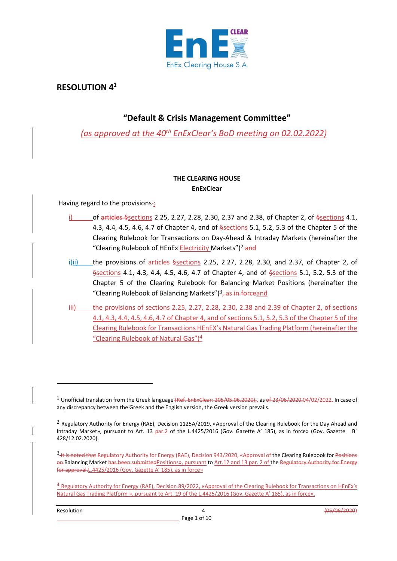

# **RESOLUTION 4<sup>1</sup>**

## **"Default & Crisis Management Committee"**

*(as approved at the 40th EnExClear's BoD meeting on 02.02.2022)*

## **THE CLEARING HOUSE EnExClear**

Having regard to the provisions-:

- of articles §sections 2.25, 2.27, 2.28, 2.30, 2.37 and 2.38, of Chapter 2, of §sections 4.1, 4.3, 4.4, 4.5, 4.6, 4.7 of Chapter 4, and of §sections 5.1, 5.2, 5.3 of the Chapter 5 of the Clearing Rulebook for Transactions on Day-Ahead & Intraday Markets (hereinafter the "Clearing Rulebook of HEnEx **Electricity Markets**")<sup>2</sup> and
- $\frac{1}{10}$  the provisions of articles §sections 2.25, 2.27, 2.28, 2.30, and 2.37, of Chapter 2, of §sections 4.1, 4.3, 4.4, 4.5, 4.6, 4.7 of Chapter 4, and of §sections 5.1, 5.2, 5.3 of the Chapter 5 of the Clearing Rulebook for Balancing Market Positions (hereinafter the "Clearing Rulebook of Balancing Markets")<sup>3</sup>, as in forceand
- iii) the provisions of sections 2.25, 2.27, 2.28, 2.30, 2.38 and 2.39 of Chapter 2, of sections 4.1, 4.3, 4.4, 4.5, 4.6, 4.7 of Chapter 4, and of sections 5.1, 5.2, 5.3 of the Chapter 5 of the Clearing Rulebook for Transactions HEnEX's Natural Gas Trading Platform (hereinafter the "Clearing Rulebook of Natural Gas")<sup>4</sup>

 $1$  Unofficial translation from the Greek language (Ref. EnExClear: 205/05.06.2020),, as of 23/06/2020.04/02/2022. In case of any discrepancy between the Greek and the English version, the Greek version prevails.

 $2$  Regulatory Authority for Energy (RAE), Decision 1125A/2019, «Approval of the Clearing Rulebook for the Day Ahead and Intraday Market», pursuant to Art. 13 par.2 of the L.4425/2016 (Gov. Gazette Α' 185), as in force» (Gov. Gazette Β΄ 428/12.02.2020).

<sup>&</sup>lt;sup>3</sup>-It is noted that Regulatory Authority for Energy (RAE), Decision 943/2020, «Approval of the Clearing Rulebook for Positions on Balancing Market has been submittedPositions», pursuant to Art.12 and 13 par. 2 of the Regulatory Authority for Energy for approval.L.4425/2016 (Gov. Gazette Α' 185), as in force»

<sup>4</sup> Regulatory Authority for Energy (RAE), Decision 89/2022, «Approval of the Clearing Rulebook for Transactions on HEnEx's Natural Gas Trading Platform », pursuant to Art. 19 of the L.4425/2016 (Gov. Gazette Α' 185), as in force».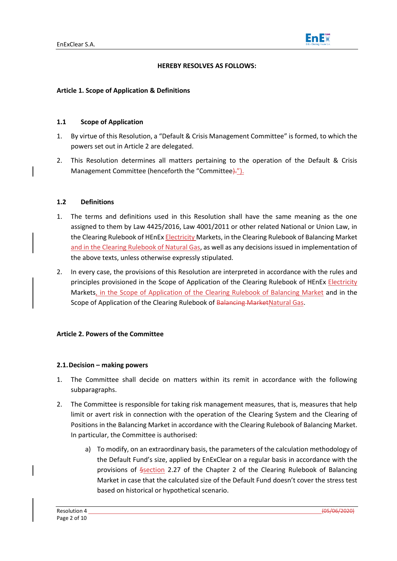

## **HEREBY RESOLVES AS FOLLOWS:**

### **Article 1. Scope of Application & Definitions**

### **1.1 Scope of Application**

- 1. By virtue of this Resolution, a "Default & Crisis Management Committee" is formed, to which the powers set out in Article 2 are delegated.
- 2. This Resolution determines all matters pertaining to the operation of the Default & Crisis Management Committee (henceforth the "Committee).").

#### **1.2 Definitions**

- 1. The terms and definitions used in this Resolution shall have the same meaning as the one assigned to them by Law 4425/2016, Law 4001/2011 or other related National or Union Law, in the Clearing Rulebook of HEnEx Electricity Markets, in the Clearing Rulebook of Balancing Market and in the Clearing Rulebook of Natural Gas, as well as any decisions issued in implementation of the above texts, unless otherwise expressly stipulated.
- 2. In every case, the provisions of this Resolution are interpreted in accordance with the rules and principles provisioned in the Scope of Application of the Clearing Rulebook of HEnEx Electricity Markets, in the Scope of Application of the Clearing Rulebook of Balancing Market and in the Scope of Application of the Clearing Rulebook of Balancing MarketNatural Gas.

## **Article 2. Powers of the Committee**

#### **2.1.Decision – making powers**

- 1. The Committee shall decide on matters within its remit in accordance with the following subparagraphs.
- 2. The Committee is responsible for taking risk management measures, that is, measures that help limit or avert risk in connection with the operation of the Clearing System and the Clearing of Positions in the Balancing Market in accordance with the Clearing Rulebook of Balancing Market. In particular, the Committee is authorised:
	- a) To modify, on an extraordinary basis, the parameters of the calculation methodology of the Default Fund's size, applied by EnExClear on a regular basis in accordance with the provisions of §section 2.27 of the Chapter 2 of the Clearing Rulebook of Balancing Market in case that the calculated size of the Default Fund doesn't cover the stress test based on historical or hypothetical scenario.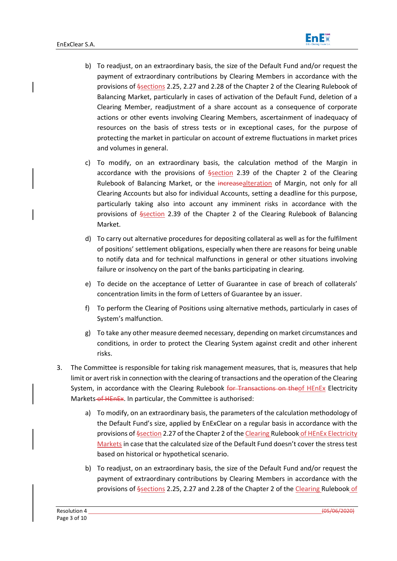

- b) To readjust, on an extraordinary basis, the size of the Default Fund and/or request the payment of extraordinary contributions by Clearing Members in accordance with the provisions of §sections 2.25, 2.27 and 2.28 of the Chapter 2 of the Clearing Rulebook of Balancing Market, particularly in cases of activation of the Default Fund, deletion of a Clearing Member, readjustment of a share account as a consequence of corporate actions or other events involving Clearing Members, ascertainment of inadequacy of resources on the basis of stress tests or in exceptional cases, for the purpose of protecting the market in particular on account of extreme fluctuations in market prices and volumes in general.
- c) To modify, on an extraordinary basis, the calculation method of the Margin in accordance with the provisions of §section 2.39 of the Chapter 2 of the Clearing Rulebook of Balancing Market, or the increasealteration of Margin, not only for all Clearing Accounts but also for individual Accounts, setting a deadline for this purpose, particularly taking also into account any imminent risks in accordance with the provisions of §section 2.39 of the Chapter 2 of the Clearing Rulebook of Balancing Market.
- d) To carry out alternative procedures for depositing collateral as well as for the fulfilment of positions' settlement obligations, especially when there are reasons for being unable to notify data and for technical malfunctions in general or other situations involving failure or insolvency on the part of the banks participating in clearing.
- e) To decide on the acceptance of Letter of Guarantee in case of breach of collaterals' concentration limits in the form of Letters of Guarantee by an issuer.
- f) To perform the Clearing of Positions using alternative methods, particularly in cases of System's malfunction.
- g) To take any other measure deemed necessary, depending on market circumstances and conditions, in order to protect the Clearing System against credit and other inherent risks.
- 3. The Committee is responsible for taking risk management measures, that is, measures that help limit or avert risk in connection with the clearing of transactions and the operation of the Clearing System, in accordance with the Clearing Rulebook for Transactions on theof HEnEx Electricity Markets-of HEnEx. In particular, the Committee is authorised:
	- a) To modify, on an extraordinary basis, the parameters of the calculation methodology of the Default Fund's size, applied by EnExClear on a regular basis in accordance with the provisions of  $\frac{c}{2}$ section 2.27 of the Chapter 2 of the Clearing Rulebook of HEnEx Electricity Markets in case that the calculated size of the Default Fund doesn't cover the stress test based on historical or hypothetical scenario.
	- b) To readjust, on an extraordinary basis, the size of the Default Fund and/or request the payment of extraordinary contributions by Clearing Members in accordance with the provisions of §sections 2.25, 2.27 and 2.28 of the Chapter 2 of the Clearing Rulebook of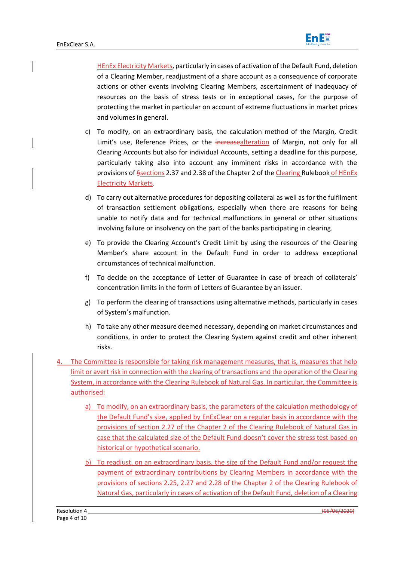HEnEx Electricity Markets, particularly in cases of activation of the Default Fund, deletion of a Clearing Member, readjustment of a share account as a consequence of corporate actions or other events involving Clearing Members, ascertainment of inadequacy of resources on the basis of stress tests or in exceptional cases, for the purpose of protecting the market in particular on account of extreme fluctuations in market prices and volumes in general.

- c) To modify, on an extraordinary basis, the calculation method of the Margin, Credit Limit's use, Reference Prices, or the increasealteration of Margin, not only for all Clearing Accounts but also for individual Accounts, setting a deadline for this purpose, particularly taking also into account any imminent risks in accordance with the provisions of §sections 2.37 and 2.38 of the Chapter 2 of the Clearing Rulebook of HEnEx Electricity Markets.
- d) To carry out alternative procedures for depositing collateral as well as for the fulfilment of transaction settlement obligations, especially when there are reasons for being unable to notify data and for technical malfunctions in general or other situations involving failure or insolvency on the part of the banks participating in clearing.
- e) To provide the Clearing Account's Credit Limit by using the resources of the Clearing Member's share account in the Default Fund in order to address exceptional circumstances of technical malfunction.
- f) To decide on the acceptance of Letter of Guarantee in case of breach of collaterals' concentration limits in the form of Letters of Guarantee by an issuer.
- g) To perform the clearing of transactions using alternative methods, particularly in cases of System's malfunction.
- h) To take any other measure deemed necessary, depending on market circumstances and conditions, in order to protect the Clearing System against credit and other inherent risks.
- 4. The Committee is responsible for taking risk management measures, that is, measures that help limit or avert risk in connection with the clearing of transactions and the operation of the Clearing System, in accordance with the Clearing Rulebook of Natural Gas. In particular, the Committee is authorised:
	- a) To modify, on an extraordinary basis, the parameters of the calculation methodology of the Default Fund's size, applied by EnExClear on a regular basis in accordance with the provisions of section 2.27 of the Chapter 2 of the Clearing Rulebook of Natural Gas in case that the calculated size of the Default Fund doesn't cover the stress test based on historical or hypothetical scenario.
	- b) To readjust, on an extraordinary basis, the size of the Default Fund and/or request the payment of extraordinary contributions by Clearing Members in accordance with the provisions of sections 2.25, 2.27 and 2.28 of the Chapter 2 of the Clearing Rulebook of Natural Gas, particularly in cases of activation of the Default Fund, deletion of a Clearing

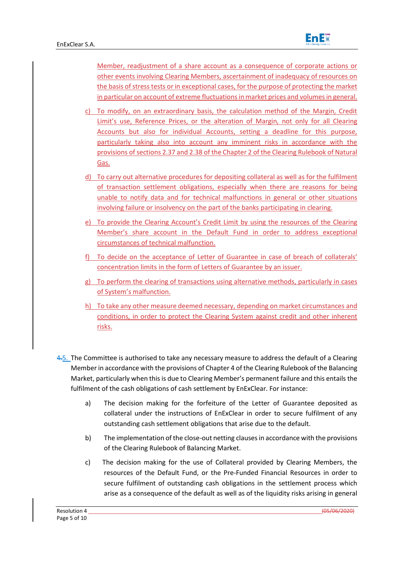Member, readjustment of a share account as a consequence of corporate actions or other events involving Clearing Members, ascertainment of inadequacy of resources on the basis of stress tests or in exceptional cases, for the purpose of protecting the market in particular on account of extreme fluctuations in market prices and volumes in general.

- c) To modify, on an extraordinary basis, the calculation method of the Margin, Credit Limit's use, Reference Prices, or the alteration of Margin, not only for all Clearing Accounts but also for individual Accounts, setting a deadline for this purpose, particularly taking also into account any imminent risks in accordance with the provisions ofsections 2.37 and 2.38 of the Chapter 2 of the Clearing Rulebook of Natural Gas.
- d) To carry out alternative procedures for depositing collateral as well as for the fulfilment of transaction settlement obligations, especially when there are reasons for being unable to notify data and for technical malfunctions in general or other situations involving failure or insolvency on the part of the banks participating in clearing.
- e) To provide the Clearing Account's Credit Limit by using the resources of the Clearing Member's share account in the Default Fund in order to address exceptional circumstances of technical malfunction.
- f) To decide on the acceptance of Letter of Guarantee in case of breach of collaterals' concentration limits in the form of Letters of Guarantee by an issuer.
- g) To perform the clearing of transactions using alternative methods, particularly in cases of System's malfunction.
- h) To take any other measure deemed necessary, depending on market circumstances and conditions, in order to protect the Clearing System against credit and other inherent risks.
- 4.5. The Committee is authorised to take any necessary measure to address the default of a Clearing Member in accordance with the provisions of Chapter 4 of the Clearing Rulebook of the Balancing Market, particularly when this is due to Clearing Member's permanent failure and this entails the fulfilment of the cash obligations of cash settlement by EnExClear. For instance:
	- a) The decision making for the forfeiture of the Letter of Guarantee deposited as collateral under the instructions of EnExClear in order to secure fulfilment of any outstanding cash settlement obligations that arise due to the default.
	- b) The implementation of the close-out netting clausesin accordance with the provisions of the Clearing Rulebook of Balancing Market.
	- c) The decision making for the use of Collateral provided by Clearing Members, the resources of the Default Fund, or the Pre-Funded Financial Resources in order to secure fulfilment of outstanding cash obligations in the settlement process which arise as a consequence of the default as well as of the liquidity risks arising in general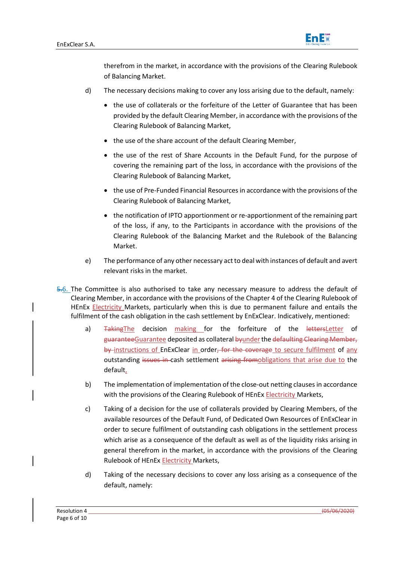

therefrom in the market, in accordance with the provisions of the Clearing Rulebook of Balancing Market.

- d) The necessary decisions making to cover any loss arising due to the default, namely:
	- the use of collaterals or the forfeiture of the Letter of Guarantee that has been provided by the default Clearing Member, in accordance with the provisions of the Clearing Rulebook of Balancing Market,
	- the use of the share account of the default Clearing Member,
	- the use of the rest of Share Accounts in the Default Fund, for the purpose of covering the remaining part of the loss, in accordance with the provisions of the Clearing Rulebook of Balancing Market,
	- the use of Pre-Funded Financial Resources in accordance with the provisions of the Clearing Rulebook of Balancing Market,
	- the notification of IPTO apportionment or re-apportionment of the remaining part of the loss, if any, to the Participants in accordance with the provisions of the Clearing Rulebook of the Balancing Market and the Rulebook of the Balancing Market.
- e) The performance of any other necessary act to deal with instances of default and avert relevant risks in the market.
- 5.6. The Committee is also authorised to take any necessary measure to address the default of Clearing Member, in accordance with the provisions of the Chapter 4 of the Clearing Rulebook of HEnEx Electricity Markets, particularly when this is due to permanent failure and entails the fulfilment of the cash obligation in the cash settlement by EnExClear. Indicatively, mentioned:
	- a) TakingThe decision making for the forfeiture of the lettersLetter of guaranteeGuarantee deposited as collateral byunder the defaulting Clearing Member, by instructions of EnExClear in order, for the coverage to secure fulfilment of any outstanding issues in cash settlement arising fromobligations that arise due to the default,
	- b) The implementation of implementation of the close-out netting clauses in accordance with the provisions of the Clearing Rulebook of HEnEx **Electricity Markets**,
	- c) Taking of a decision for the use of collaterals provided by Clearing Members, of the available resources of the Default Fund, of Dedicated Own Resources of EnExClear in order to secure fulfilment of outstanding cash obligations in the settlement process which arise as a consequence of the default as well as of the liquidity risks arising in general therefrom in the market, in accordance with the provisions of the Clearing Rulebook of HEnEx Electricity Markets,
	- d) Taking of the necessary decisions to cover any loss arising as a consequence of the default, namely: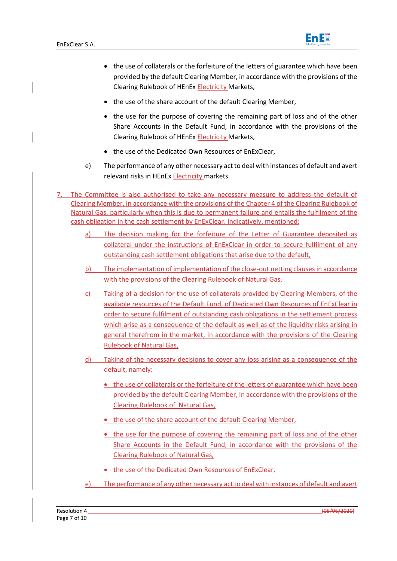

- the use of collaterals or the forfeiture of the letters of guarantee which have been provided by the default Clearing Member, in accordance with the provisions of the Clearing Rulebook of HEnEx Electricity Markets,
- the use of the share account of the default Clearing Member,
- the use for the purpose of covering the remaining part of loss and of the other Share Accounts in the Default Fund, in accordance with the provisions of the Clearing Rulebook of HEnEx Electricity Markets,
- the use of the Dedicated Own Resources of EnExClear,
- e) The performance of any other necessary act to deal with instances of default and avert relevant risks in HEnEx Electricity markets.
- 7. The Committee is also authorised to take any necessary measure to address the default of Clearing Member, in accordance with the provisions of the Chapter 4 of the Clearing Rulebook of Natural Gas, particularly when this is due to permanent failure and entails the fulfilment of the cash obligation in the cash settlement by EnExClear. Indicatively, mentioned:
	- a) The decision making for the forfeiture of the Letter of Guarantee deposited as collateral under the instructions of EnExClear in order to secure fulfilment of any outstanding cash settlement obligations that arise due to the default,
	- b) The implementation of implementation of the close-out netting clauses in accordance with the provisions of the Clearing Rulebook of Natural Gas,
	- c) Taking of a decision for the use of collaterals provided by Clearing Members, of the available resources of the Default Fund, of Dedicated Own Resources of EnExClear in order to secure fulfilment of outstanding cash obligations in the settlement process which arise as a consequence of the default as well as of the liquidity risks arising in general therefrom in the market, in accordance with the provisions of the Clearing Rulebook of Natural Gas,
	- d) Taking of the necessary decisions to cover any loss arising as a consequence of the default, namely:
		- the use of collaterals or the forfeiture of the letters of guarantee which have been provided by the default Clearing Member, in accordance with the provisions of the Clearing Rulebook of Natural Gas,
		- the use of the share account of the default Clearing Member,
		- the use for the purpose of covering the remaining part of loss and of the other Share Accounts in the Default Fund, in accordance with the provisions of the Clearing Rulebook of Natural Gas,
		- the use of the Dedicated Own Resources of EnExClear,
	- e) The performance of any other necessary act to deal with instances of default and avert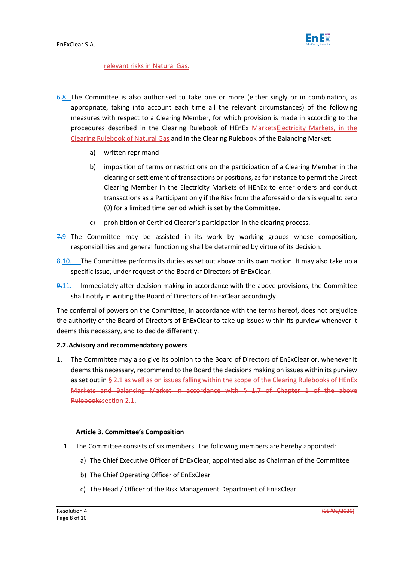

## relevant risks in Natural Gas.

- $6.8$ . The Committee is also authorised to take one or more (either singly or in combination, as appropriate, taking into account each time all the relevant circumstances) of the following measures with respect to a Clearing Member, for which provision is made in according to the procedures described in the Clearing Rulebook of HEnEx MarketsElectricity Markets, in the Clearing Rulebook of Natural Gas and in the Clearing Rulebook of the Balancing Market:
	- a) written reprimand
	- b) imposition of terms or restrictions on the participation of a Clearing Member in the clearing or settlement of transactions or positions, as for instance to permit the Direct Clearing Member in the Electricity Markets of HEnEx to enter orders and conduct transactions as a Participant only if the Risk from the aforesaid orders is equal to zero (0) for a limited time period which is set by the Committee.
	- c) prohibition of Certified Clearer's participation in the clearing process.
- $7.9.$  The Committee may be assisted in its work by working groups whose composition, responsibilities and general functioning shall be determined by virtue of its decision.
- 8.10. The Committee performs its duties as set out above on its own motion. It may also take up a specific issue, under request of the Board of Directors of EnExClear.
- 9.11. Immediately after decision making in accordance with the above provisions, the Committee shall notify in writing the Board of Directors of EnExClear accordingly.

The conferral of powers on the Committee, in accordance with the terms hereof, does not prejudice the authority of the Board of Directors of EnExClear to take up issues within its purview whenever it deems this necessary, and to decide differently.

## **2.2.Advisory and recommendatory powers**

1. The Committee may also give its opinion to the Board of Directors of EnExClear or, whenever it deems this necessary, recommend to the Board the decisions making on issues within its purview as set out in § 2.1 as well as on issues falling within the scope of the Clearing Rulebooks of HEnEx Markets and Balancing Market in accordance with § 1.7 of Chapter 1 of the above Rulebookssection 2.1.

## **Article 3. Committee's Composition**

- 1. The Committee consists of six members. The following members are hereby appointed:
	- a) The Chief Executive Officer of EnExClear, appointed also as Chairman of the Committee
	- b) The Chief Operating Officer of EnExClear
	- c) The Head / Officer of the Risk Management Department of EnExClear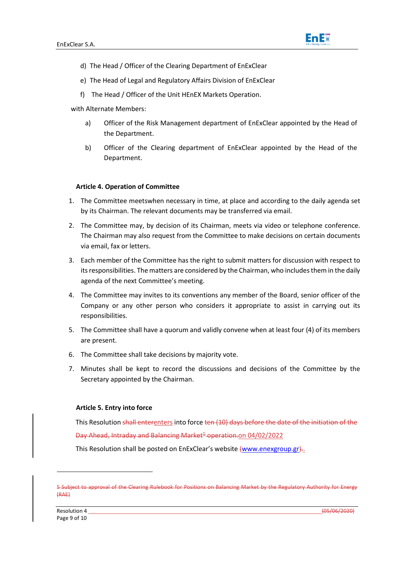

- d) The Head / Officer of the Clearing Department of EnExClear
- e) The Head of Legal and Regulatory Affairs Division of EnExClear
- f) The Head / Officer of the Unit HEnEX Markets Operation.

with Alternate Members:

- a) Officer of the Risk Management department of EnExClear appointed by the Head of the Department.
- b) Officer of the Clearing department of EnExClear appointed by the Head of the Department.

#### **Article 4. Operation of Committee**

- 1. The Committee meetswhen necessary in time, at place and according to the daily agenda set by its Chairman. The relevant documents may be transferred via email.
- 2. The Committee may, by decision of its Chairman, meets via video or telephone conference. The Chairman may also request from the Committee to make decisions on certain documents via email, fax or letters.
- 3. Each member of the Committee has the right to submit matters for discussion with respect to its responsibilities. The matters are considered by the Chairman, who includes them in the daily agenda of the next Committee's meeting.
- 4. The Committee may invites to its conventions any member of the Board, senior officer of the Company or any other person who considers it appropriate to assist in carrying out its responsibilities.
- 5. The Committee shall have a quorum and validly convene when at least four (4) of its members are present.
- 6. The Committee shall take decisions by majority vote.
- 7. Minutes shall be kept to record the discussions and decisions of the Committee by the Secretary appointed by the Chairman.

#### **Article 5. Entry into force**

This Resolution shall enterenters into force ten (10) days before the date of the initiation of the Day Ahead, Intraday and Balancing Market<sup>5</sup> operation.on 04/02/2022

This Resolution shall be posted on EnExClear's website [\(www.enexgroup.gr\)](http://www.enexgroup.gr/).

<sup>5</sup> Subject to approval of the Clearing Rulebook for Positions on Balancing Market by the Regulatory Authority for Energy (RAE)